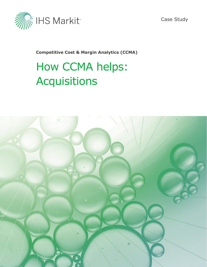

Case Study

**Competitive Cost & Margin Analytics (CCMA)**

# How CCMA helps: Acquisitions